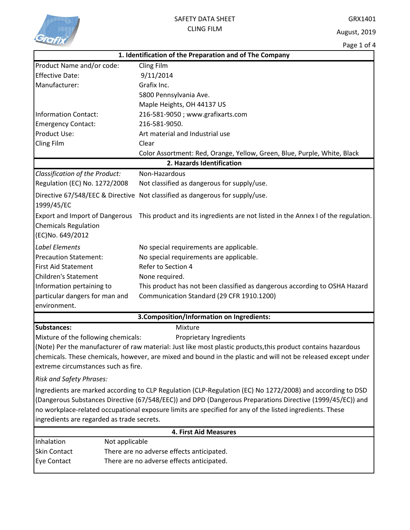

## SAFETY DATA SHEET CLING FILM

GRX1401

August, 2019

|                                            | Page 1 or 4                                                                                                   |  |  |
|--------------------------------------------|---------------------------------------------------------------------------------------------------------------|--|--|
|                                            | 1. Identification of the Preparation and of The Company                                                       |  |  |
| Product Name and/or code:                  | Cling Film                                                                                                    |  |  |
| <b>Effective Date:</b>                     | 9/11/2014                                                                                                     |  |  |
| Manufacturer:                              | Grafix Inc.                                                                                                   |  |  |
|                                            | 5800 Pennsylvania Ave.                                                                                        |  |  |
|                                            | Maple Heights, OH 44137 US                                                                                    |  |  |
| <b>Information Contact:</b>                | 216-581-9050; www.grafixarts.com                                                                              |  |  |
| <b>Emergency Contact:</b>                  | 216-581-9050.                                                                                                 |  |  |
| Product Use:                               | Art material and Industrial use                                                                               |  |  |
| Cling Film                                 | Clear                                                                                                         |  |  |
|                                            | Color Assortment: Red, Orange, Yellow, Green, Blue, Purple, White, Black                                      |  |  |
|                                            | 2. Hazards Identification                                                                                     |  |  |
| Classification of the Product:             | Non-Hazardous                                                                                                 |  |  |
| Regulation (EC) No. 1272/2008              | Not classified as dangerous for supply/use.                                                                   |  |  |
|                                            | Directive 67/548/EEC & Directive Not classified as dangerous for supply/use.                                  |  |  |
| 1999/45/EC                                 |                                                                                                               |  |  |
| <b>Export and Import of Dangerous</b>      | This product and its ingredients are not listed in the Annex I of the regulation.                             |  |  |
| <b>Chemicals Regulation</b>                |                                                                                                               |  |  |
| (EC)No. 649/2012                           |                                                                                                               |  |  |
| <b>Label Elements</b>                      | No special requirements are applicable.                                                                       |  |  |
| <b>Precaution Statement:</b>               | No special requirements are applicable.                                                                       |  |  |
| <b>First Aid Statement</b>                 | Refer to Section 4                                                                                            |  |  |
| <b>Children's Statement</b>                | None required.                                                                                                |  |  |
| Information pertaining to                  | This product has not been classified as dangerous according to OSHA Hazard                                    |  |  |
| particular dangers for man and             | Communication Standard (29 CFR 1910.1200)                                                                     |  |  |
| environment.                               |                                                                                                               |  |  |
|                                            |                                                                                                               |  |  |
|                                            | 3. Composition/Information on Ingredients:                                                                    |  |  |
| <b>Substances:</b>                         | Mixture                                                                                                       |  |  |
| Mixture of the following chemicals:        | Proprietary Ingredients                                                                                       |  |  |
|                                            | (Note) Per the manufacturer of raw material: Just like most plastic products, this product contains hazardous |  |  |
|                                            | chemicals. These chemicals, however, are mixed and bound in the plastic and will not be released except under |  |  |
| extreme circumstances such as fire.        |                                                                                                               |  |  |
| Risk and Safety Phrases:                   |                                                                                                               |  |  |
|                                            | Ingredients are marked according to CLP Regulation (CLP-Regulation (EC) No 1272/2008) and according to DSD    |  |  |
|                                            | (Dangerous Substances Directive (67/548/EEC)) and DPD (Dangerous Preparations Directive (1999/45/EC)) and     |  |  |
|                                            | no workplace-related occupational exposure limits are specified for any of the listed ingredients. These      |  |  |
| ingredients are regarded as trade secrets. |                                                                                                               |  |  |
|                                            | <b>4. First Aid Measures</b>                                                                                  |  |  |
| Inhalation<br>Not applicable               |                                                                                                               |  |  |
| Skin Contact                               | There are no adverse effects anticipated.                                                                     |  |  |
| Eye Contact                                | There are no adverse effects anticipated.                                                                     |  |  |
|                                            |                                                                                                               |  |  |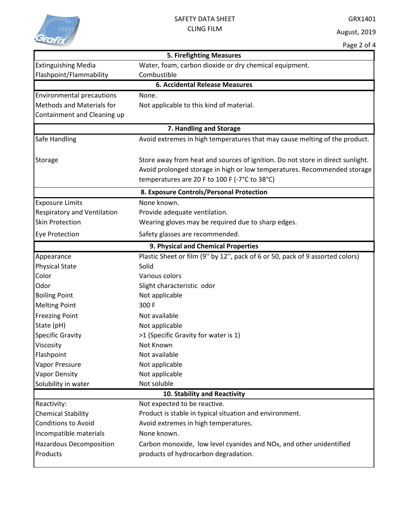

## SAFETY DATA SHEET CLING FILM

|                                          | <b>5. Firefighting Measures</b>                                                |  |  |  |
|------------------------------------------|--------------------------------------------------------------------------------|--|--|--|
| <b>Extinguishing Media</b>               | Water, foam, carbon dioxide or dry chemical equipment.                         |  |  |  |
| Flashpoint/Flammability                  | Combustible                                                                    |  |  |  |
|                                          | <b>6. Accidental Release Measures</b>                                          |  |  |  |
| <b>Environmental precautions</b>         | None.                                                                          |  |  |  |
| <b>Methods and Materials for</b>         | Not applicable to this kind of material.                                       |  |  |  |
| Containment and Cleaning up              |                                                                                |  |  |  |
| 7. Handling and Storage                  |                                                                                |  |  |  |
| Safe Handling                            | Avoid extremes in high temperatures that may cause melting of the product.     |  |  |  |
| Storage                                  | Store away from heat and sources of ignition. Do not store in direct sunlight. |  |  |  |
|                                          | Avoid prolonged storage in high or low temperatures. Recommended storage       |  |  |  |
|                                          | temperatures are 20 F to 100 F (-7°C to 38°C)                                  |  |  |  |
| 8. Exposure Controls/Personal Protection |                                                                                |  |  |  |
| <b>Exposure Limits</b>                   | None known.                                                                    |  |  |  |
| <b>Respiratory and Ventilation</b>       | Provide adequate ventilation.                                                  |  |  |  |
| <b>Skin Protection</b>                   | Wearing gloves may be required due to sharp edges.                             |  |  |  |
| Eye Protection                           | Safety glasses are recommended.                                                |  |  |  |
|                                          | 9. Physical and Chemical Properties                                            |  |  |  |
| Appearance                               | Plastic Sheet or film (9" by 12", pack of 6 or 50, pack of 9 assorted colors)  |  |  |  |
| <b>Physical State</b>                    | Solid                                                                          |  |  |  |
| Color                                    | Various colors                                                                 |  |  |  |
| Odor                                     | Slight characteristic odor                                                     |  |  |  |
| <b>Boiling Point</b>                     | Not applicable                                                                 |  |  |  |
| <b>Melting Point</b>                     | 300 F                                                                          |  |  |  |
| <b>Freezing Point</b>                    | Not available                                                                  |  |  |  |
| State (pH)                               | Not applicable                                                                 |  |  |  |
| <b>Specific Gravity</b>                  | >1 (Specific Gravity for water is 1)                                           |  |  |  |
| Viscosity                                | Not Known                                                                      |  |  |  |
| Flashpoint                               | Not available                                                                  |  |  |  |
| Vapor Pressure                           | Not applicable                                                                 |  |  |  |
| <b>Vapor Density</b>                     | Not applicable                                                                 |  |  |  |
| Solubility in water                      | Not soluble                                                                    |  |  |  |
|                                          | 10. Stability and Reactivity                                                   |  |  |  |
| Reactivity:                              | Not expected to be reactive.                                                   |  |  |  |
| <b>Chemical Stability</b>                | Product is stable in typical situation and environment.                        |  |  |  |
| <b>Conditions to Avoid</b>               | Avoid extremes in high temperatures.                                           |  |  |  |
| Incompatible materials                   | None known.                                                                    |  |  |  |
| <b>Hazardous Decomposition</b>           | Carbon monoxide, low level cyanides and NOx, and other unidentified            |  |  |  |
| Products                                 | products of hydrocarbon degradation.                                           |  |  |  |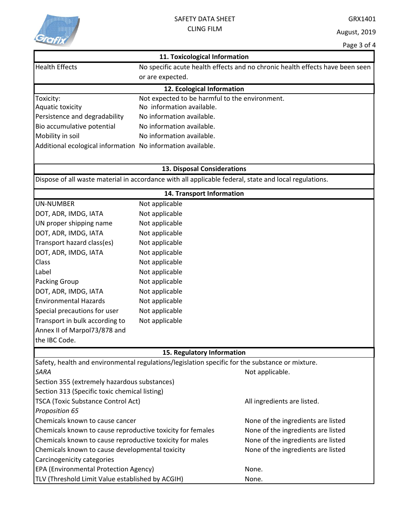

|                                                             | 11. Toxicological Information                                                                   |                                                                                                       |
|-------------------------------------------------------------|-------------------------------------------------------------------------------------------------|-------------------------------------------------------------------------------------------------------|
| <b>Health Effects</b>                                       |                                                                                                 | No specific acute health effects and no chronic health effects have been seen                         |
|                                                             | or are expected.                                                                                |                                                                                                       |
|                                                             | 12. Ecological Information                                                                      |                                                                                                       |
| Toxicity:                                                   | Not expected to be harmful to the environment.                                                  |                                                                                                       |
| Aquatic toxicity                                            | No information available.                                                                       |                                                                                                       |
| Persistence and degradability                               | No information available.                                                                       |                                                                                                       |
| Bio accumulative potential                                  | No information available.                                                                       |                                                                                                       |
| Mobility in soil                                            | No information available.                                                                       |                                                                                                       |
| Additional ecological information No information available. |                                                                                                 |                                                                                                       |
|                                                             | 13. Disposal Considerations                                                                     |                                                                                                       |
|                                                             |                                                                                                 | Dispose of all waste material in accordance with all applicable federal, state and local regulations. |
|                                                             | 14. Transport Information                                                                       |                                                                                                       |
| <b>UN-NUMBER</b>                                            | Not applicable                                                                                  |                                                                                                       |
| DOT, ADR, IMDG, IATA                                        | Not applicable                                                                                  |                                                                                                       |
| UN proper shipping name                                     | Not applicable                                                                                  |                                                                                                       |
| DOT, ADR, IMDG, IATA                                        | Not applicable                                                                                  |                                                                                                       |
| Transport hazard class(es)                                  | Not applicable                                                                                  |                                                                                                       |
| DOT, ADR, IMDG, IATA                                        | Not applicable                                                                                  |                                                                                                       |
| Class                                                       | Not applicable                                                                                  |                                                                                                       |
| Label                                                       | Not applicable                                                                                  |                                                                                                       |
| Packing Group                                               | Not applicable                                                                                  |                                                                                                       |
| DOT, ADR, IMDG, IATA                                        | Not applicable                                                                                  |                                                                                                       |
| <b>Environmental Hazards</b>                                | Not applicable                                                                                  |                                                                                                       |
| Special precautions for user                                | Not applicable                                                                                  |                                                                                                       |
| Transport in bulk according to                              | Not applicable                                                                                  |                                                                                                       |
| Annex II of Marpol73/878 and                                |                                                                                                 |                                                                                                       |
| the IBC Code.                                               |                                                                                                 |                                                                                                       |
|                                                             | 15. Regulatory Information                                                                      |                                                                                                       |
|                                                             | Safety, health and environmental regulations/legislation specific for the substance or mixture. |                                                                                                       |
| SARA                                                        |                                                                                                 | Not applicable.                                                                                       |
| Section 355 (extremely hazardous substances)                |                                                                                                 |                                                                                                       |
| Section 313 (Specific toxic chemical listing)               |                                                                                                 |                                                                                                       |
| <b>TSCA (Toxic Substance Control Act)</b>                   |                                                                                                 | All ingredients are listed.                                                                           |
| Proposition 65                                              |                                                                                                 |                                                                                                       |
| Chemicals known to cause cancer                             |                                                                                                 | None of the ingredients are listed                                                                    |
| Chemicals known to cause reproductive toxicity for females  |                                                                                                 | None of the ingredients are listed                                                                    |
| Chemicals known to cause reproductive toxicity for males    |                                                                                                 | None of the ingredients are listed                                                                    |
| Chemicals known to cause developmental toxicity             |                                                                                                 | None of the ingredients are listed                                                                    |
| Carcinogenicity categories                                  |                                                                                                 |                                                                                                       |
| EPA (Environmental Protection Agency)                       |                                                                                                 | None.                                                                                                 |
| TLV (Threshold Limit Value established by ACGIH)            |                                                                                                 | None.                                                                                                 |